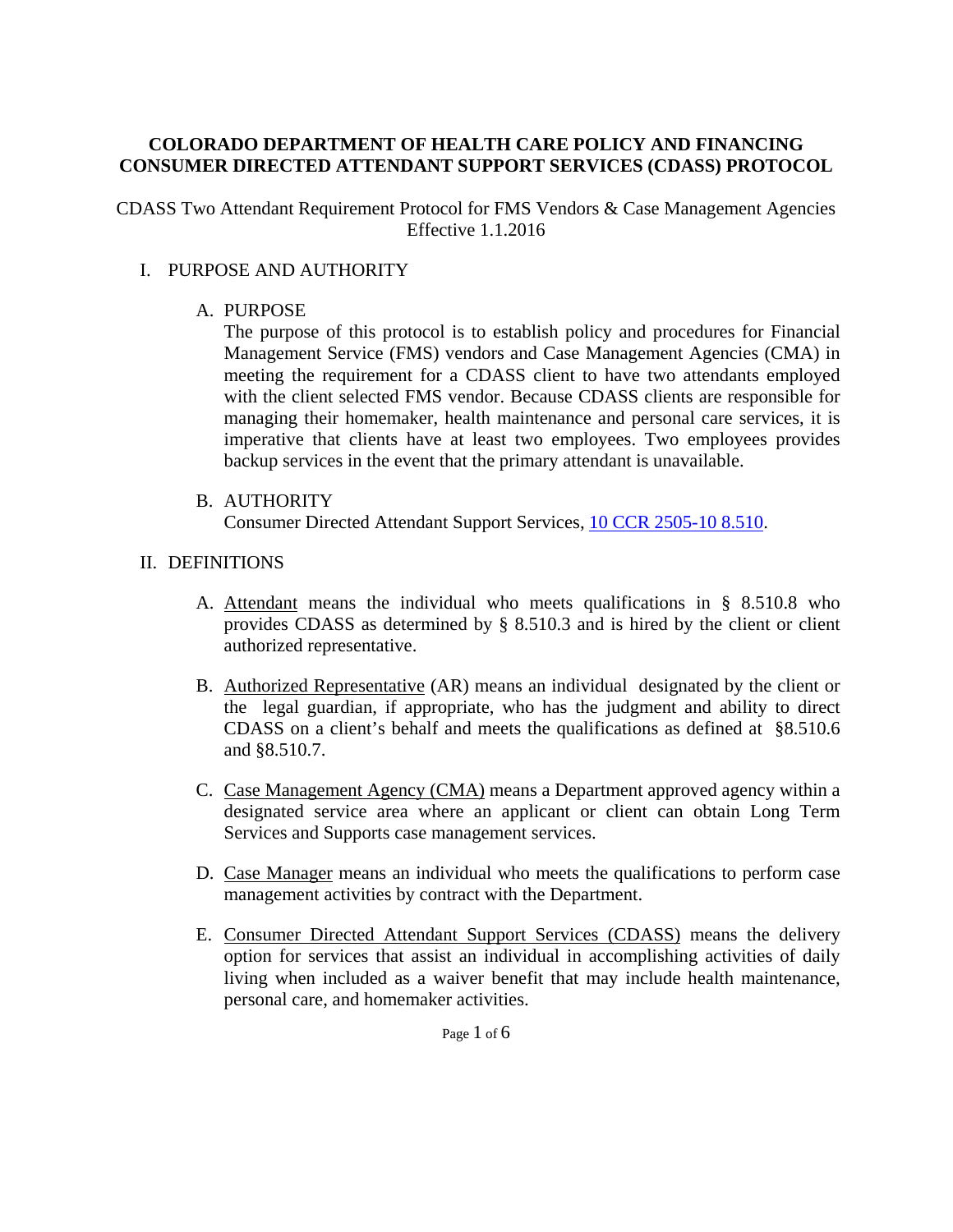## **COLORADO DEPARTMENT OF HEALTH CARE POLICY AND FINANCING CONSUMER DIRECTED ATTENDANT SUPPORT SERVICES (CDASS) PROTOCOL**

CDASS Two Attendant Requirement Protocol for FMS Vendors & Case Management Agencies Effective 1.1.2016

## I. PURPOSE AND AUTHORITY

#### A. PURPOSE

The purpose of this protocol is to establish policy and procedures for Financial Management Service (FMS) vendors and Case Management Agencies (CMA) in meeting the requirement for a CDASS client to have two attendants employed with the client selected FMS vendor. Because CDASS clients are responsible for managing their homemaker, health maintenance and personal care services, it is imperative that clients have at least two employees. Two employees provides backup services in the event that the primary attendant is unavailable.

B. AUTHORITY Consumer Directed Attendant Support Services, 10 CCR 2505-10 8.510.

# II. DEFINITIONS

- A. Attendant means the individual who meets qualifications in § 8.510.8 who provides CDASS as determined by § 8.510.3 and is hired by the client or client authorized representative.
- B. Authorized Representative (AR) means an individual designated by the client or the legal guardian, if appropriate, who has the judgment and ability to direct CDASS on a client's behalf and meets the qualifications as defined at §8.510.6 and §8.510.7.
- C. Case Management Agency (CMA) means a Department approved agency within a designated service area where an applicant or client can obtain Long Term Services and Supports case management services.
- D. Case Manager means an individual who meets the qualifications to perform case management activities by contract with the Department.
- E. Consumer Directed Attendant Support Services (CDASS) means the delivery option for services that assist an individual in accomplishing activities of daily living when included as a waiver benefit that may include health maintenance, personal care, and homemaker activities.

Page 1 of 6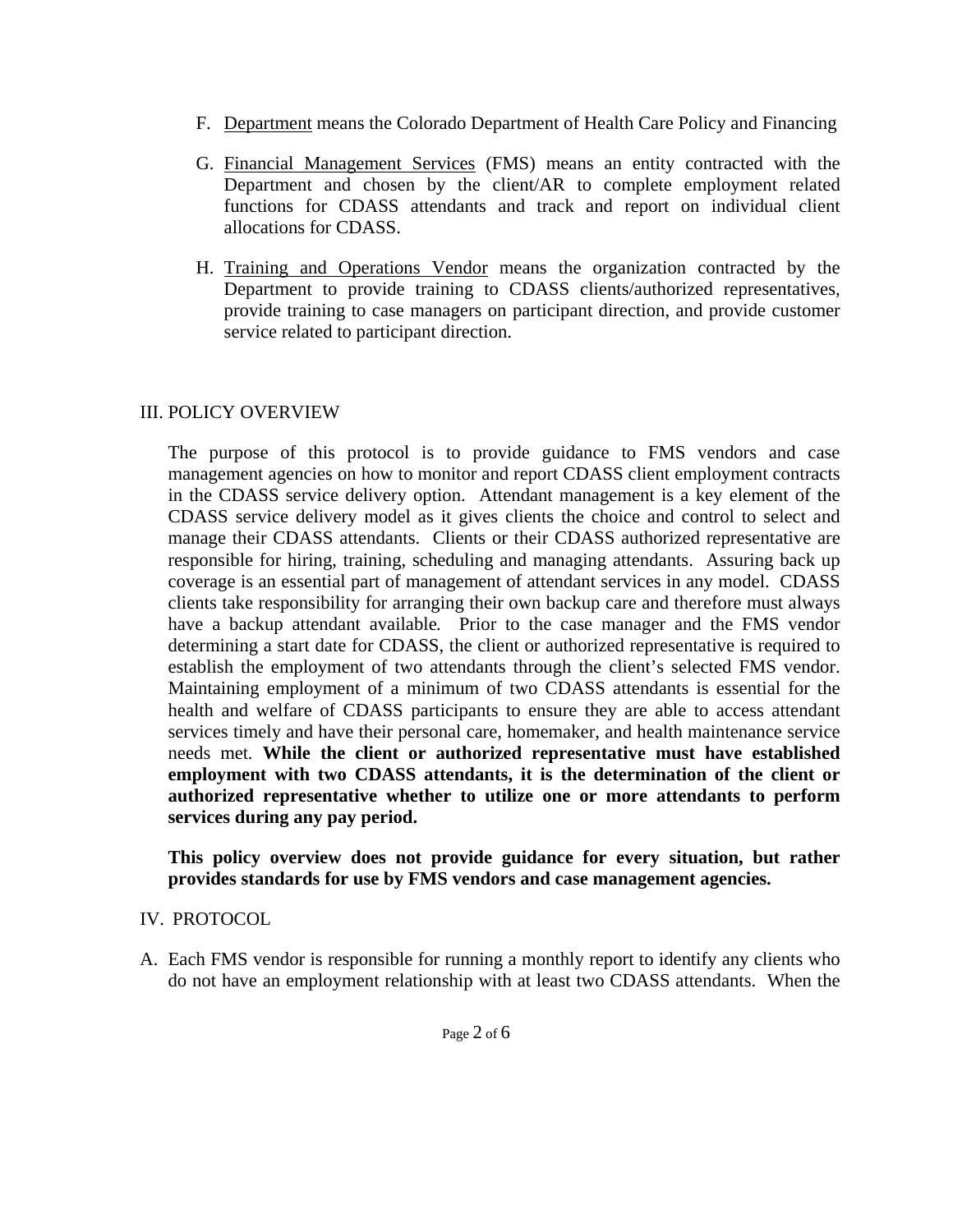- F. Department means the Colorado Department of Health Care Policy and Financing
- G. Financial Management Services (FMS) means an entity contracted with the Department and chosen by the client/AR to complete employment related functions for CDASS attendants and track and report on individual client allocations for CDASS.
- H. Training and Operations Vendor means the organization contracted by the Department to provide training to CDASS clients/authorized representatives, provide training to case managers on participant direction, and provide customer service related to participant direction.

#### III. POLICY OVERVIEW

The purpose of this protocol is to provide guidance to FMS vendors and case management agencies on how to monitor and report CDASS client employment contracts in the CDASS service delivery option. Attendant management is a key element of the CDASS service delivery model as it gives clients the choice and control to select and manage their CDASS attendants. Clients or their CDASS authorized representative are responsible for hiring, training, scheduling and managing attendants. Assuring back up coverage is an essential part of management of attendant services in any model. CDASS clients take responsibility for arranging their own backup care and therefore must always have a backup attendant available*.* Prior to the case manager and the FMS vendor determining a start date for CDASS, the client or authorized representative is required to establish the employment of two attendants through the client's selected FMS vendor. Maintaining employment of a minimum of two CDASS attendants is essential for the health and welfare of CDASS participants to ensure they are able to access attendant services timely and have their personal care, homemaker, and health maintenance service needs met*.* **While the client or authorized representative must have established employment with two CDASS attendants, it is the determination of the client or authorized representative whether to utilize one or more attendants to perform services during any pay period.** 

**This policy overview does not provide guidance for every situation, but rather provides standards for use by FMS vendors and case management agencies.**

- IV. PROTOCOL
- A. Each FMS vendor is responsible for running a monthly report to identify any clients who do not have an employment relationship with at least two CDASS attendants. When the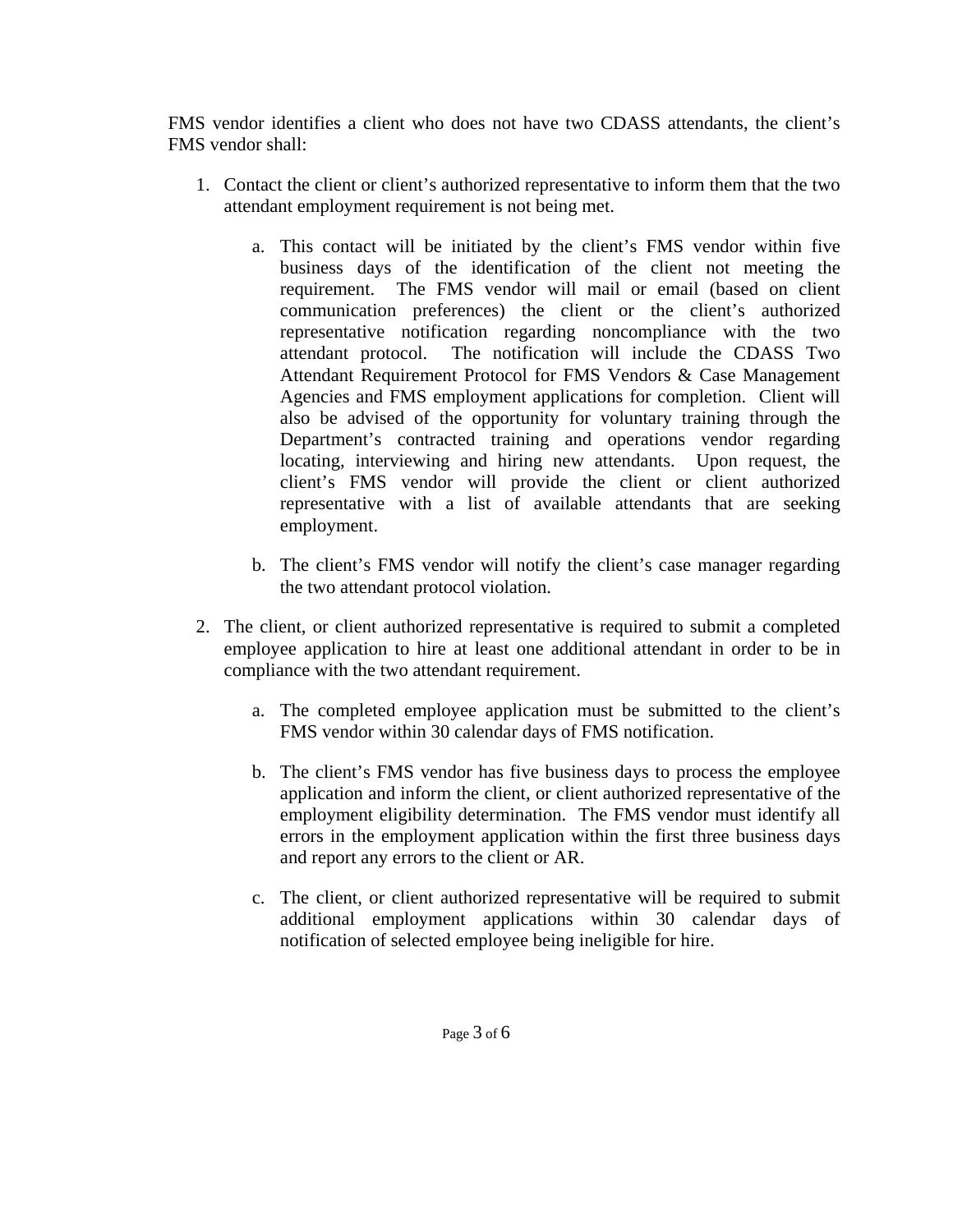FMS vendor identifies a client who does not have two CDASS attendants, the client's FMS vendor shall:

- 1. Contact the client or client's authorized representative to inform them that the two attendant employment requirement is not being met.
	- a. This contact will be initiated by the client's FMS vendor within five business days of the identification of the client not meeting the requirement. The FMS vendor will mail or email (based on client communication preferences) the client or the client's authorized representative notification regarding noncompliance with the two attendant protocol. The notification will include the CDASS Two Attendant Requirement Protocol for FMS Vendors & Case Management Agencies and FMS employment applications for completion. Client will also be advised of the opportunity for voluntary training through the Department's contracted training and operations vendor regarding locating, interviewing and hiring new attendants. Upon request, the client's FMS vendor will provide the client or client authorized representative with a list of available attendants that are seeking employment.
	- b. The client's FMS vendor will notify the client's case manager regarding the two attendant protocol violation.
- 2. The client, or client authorized representative is required to submit a completed employee application to hire at least one additional attendant in order to be in compliance with the two attendant requirement.
	- a. The completed employee application must be submitted to the client's FMS vendor within 30 calendar days of FMS notification.
	- b. The client's FMS vendor has five business days to process the employee application and inform the client, or client authorized representative of the employment eligibility determination. The FMS vendor must identify all errors in the employment application within the first three business days and report any errors to the client or AR.
	- c. The client, or client authorized representative will be required to submit additional employment applications within 30 calendar days of notification of selected employee being ineligible for hire.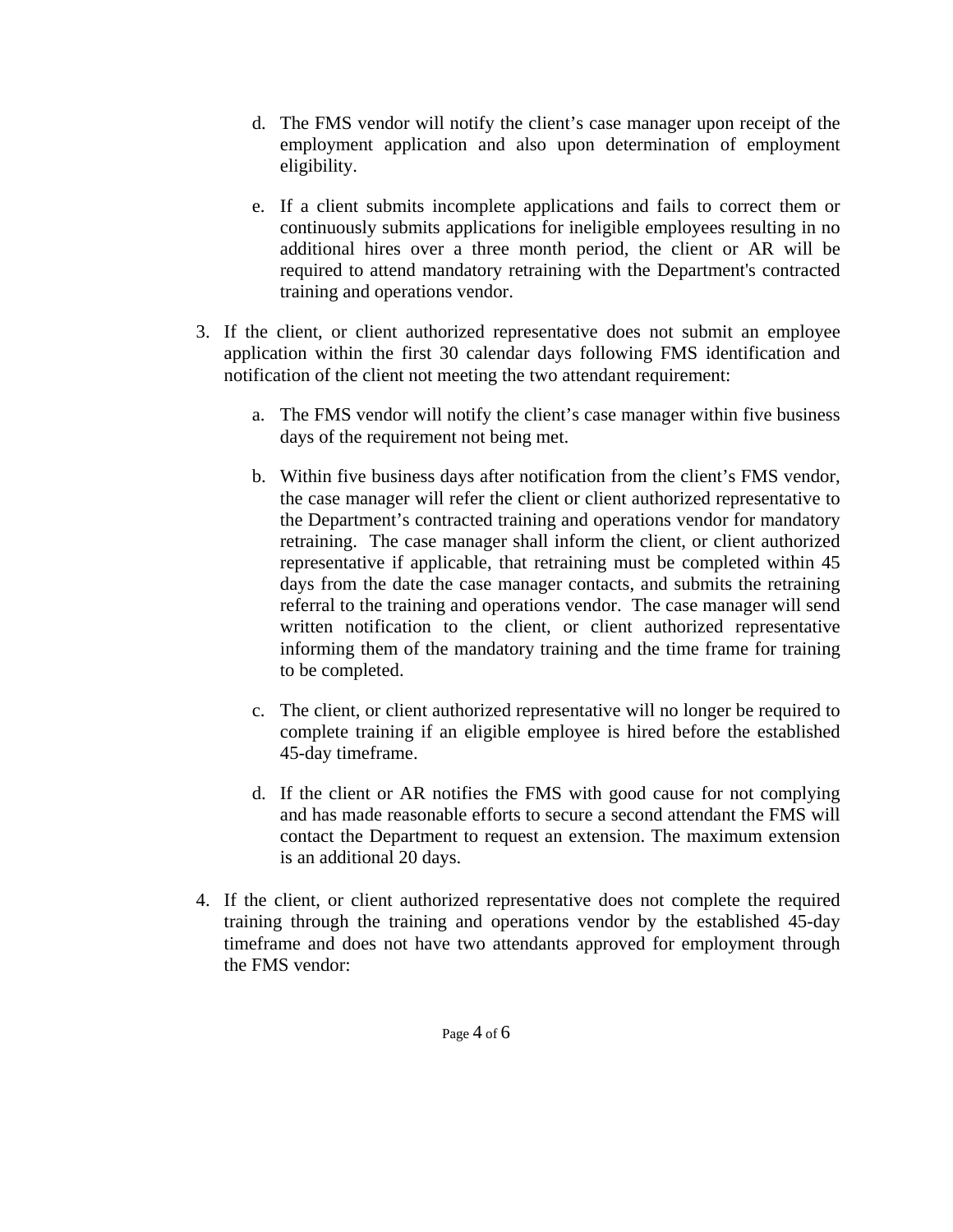- d. The FMS vendor will notify the client's case manager upon receipt of the employment application and also upon determination of employment eligibility.
- e. If a client submits incomplete applications and fails to correct them or continuously submits applications for ineligible employees resulting in no additional hires over a three month period, the client or AR will be required to attend mandatory retraining with the Department's contracted training and operations vendor.
- 3. If the client, or client authorized representative does not submit an employee application within the first 30 calendar days following FMS identification and notification of the client not meeting the two attendant requirement:
	- a. The FMS vendor will notify the client's case manager within five business days of the requirement not being met.
	- b. Within five business days after notification from the client's FMS vendor, the case manager will refer the client or client authorized representative to the Department's contracted training and operations vendor for mandatory retraining. The case manager shall inform the client, or client authorized representative if applicable, that retraining must be completed within 45 days from the date the case manager contacts, and submits the retraining referral to the training and operations vendor. The case manager will send written notification to the client, or client authorized representative informing them of the mandatory training and the time frame for training to be completed.
	- c. The client, or client authorized representative will no longer be required to complete training if an eligible employee is hired before the established 45-day timeframe.
	- d. If the client or AR notifies the FMS with good cause for not complying and has made reasonable efforts to secure a second attendant the FMS will contact the Department to request an extension. The maximum extension is an additional 20 days.
- 4. If the client, or client authorized representative does not complete the required training through the training and operations vendor by the established 45-day timeframe and does not have two attendants approved for employment through the FMS vendor: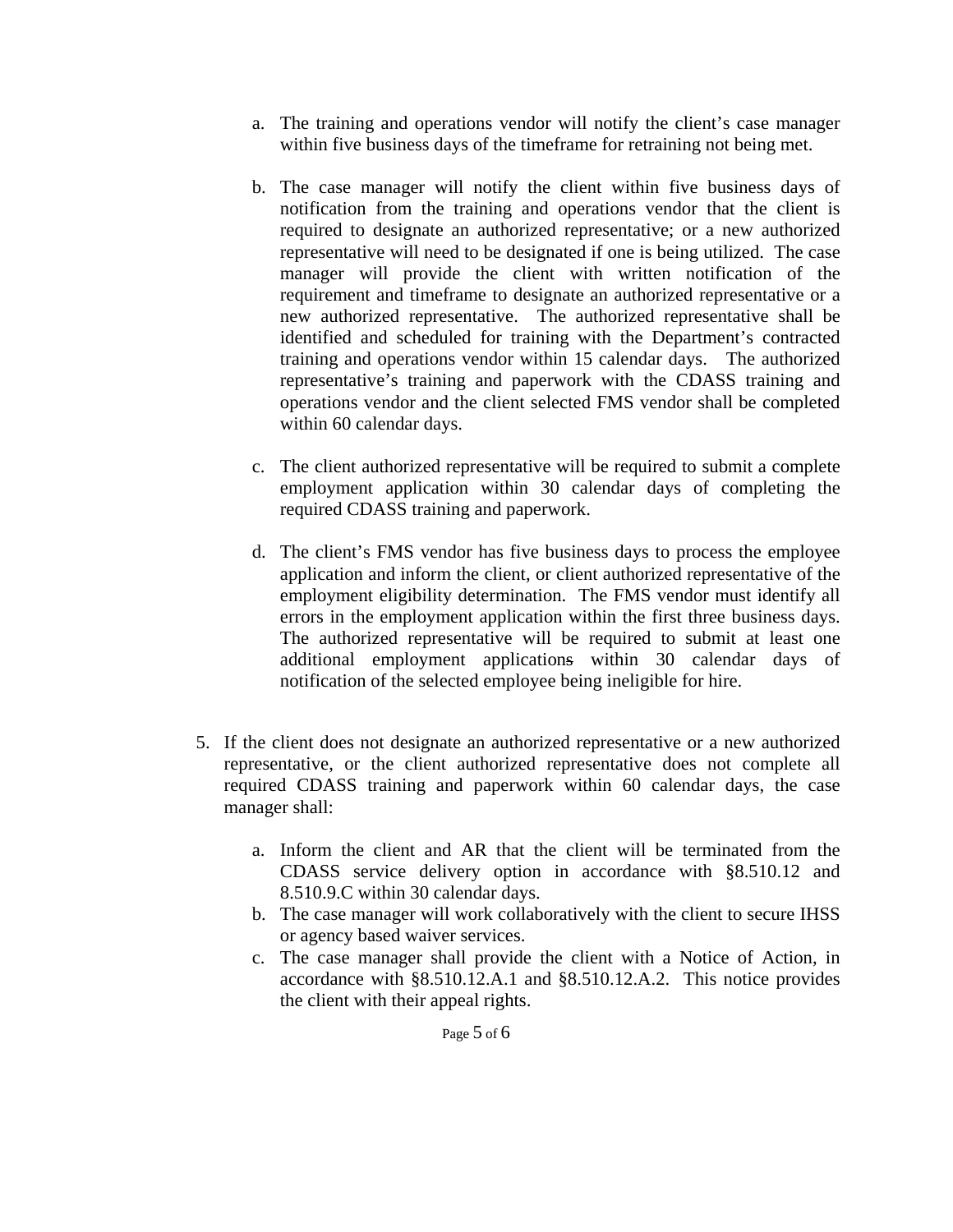- a. The training and operations vendor will notify the client's case manager within five business days of the timeframe for retraining not being met.
- b. The case manager will notify the client within five business days of notification from the training and operations vendor that the client is required to designate an authorized representative; or a new authorized representative will need to be designated if one is being utilized. The case manager will provide the client with written notification of the requirement and timeframe to designate an authorized representative or a new authorized representative. The authorized representative shall be identified and scheduled for training with the Department's contracted training and operations vendor within 15 calendar days. The authorized representative's training and paperwork with the CDASS training and operations vendor and the client selected FMS vendor shall be completed within 60 calendar days.
- c. The client authorized representative will be required to submit a complete employment application within 30 calendar days of completing the required CDASS training and paperwork.
- d. The client's FMS vendor has five business days to process the employee application and inform the client, or client authorized representative of the employment eligibility determination. The FMS vendor must identify all errors in the employment application within the first three business days. The authorized representative will be required to submit at least one additional employment applications within 30 calendar days of notification of the selected employee being ineligible for hire.
- 5. If the client does not designate an authorized representative or a new authorized representative, or the client authorized representative does not complete all required CDASS training and paperwork within 60 calendar days, the case manager shall:
	- a. Inform the client and AR that the client will be terminated from the CDASS service delivery option in accordance with §8.510.12 and 8.510.9.C within 30 calendar days.
	- b. The case manager will work collaboratively with the client to secure IHSS or agency based waiver services.
	- c. The case manager shall provide the client with a Notice of Action, in accordance with §8.510.12.A.1 and §8.510.12.A.2. This notice provides the client with their appeal rights.

Page 5 of 6